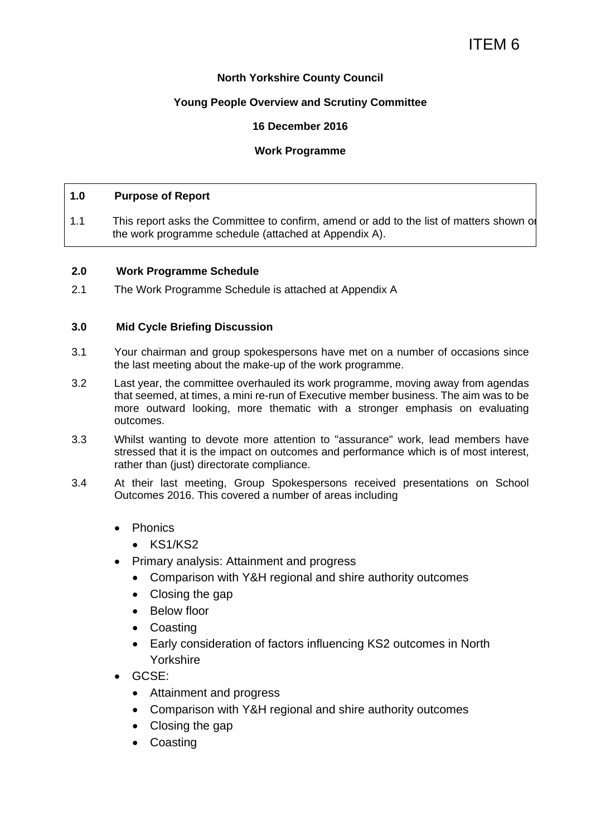# **North Yorkshire County Council**

# **Young People Overview and Scrutiny Committee**

# **16 December 2016**

# **Work Programme**

#### **1.0 Purpose of Report**

1.1 This report asks the Committee to confirm, amend or add to the list of matters shown on the work programme schedule (attached at Appendix A).

#### **2.0 Work Programme Schedule**

2.1 The Work Programme Schedule is attached at Appendix A

#### **3.0 Mid Cycle Briefing Discussion**

- 3.1 Your chairman and group spokespersons have met on a number of occasions since the last meeting about the make-up of the work programme.
- 3.2 Last year, the committee overhauled its work programme, moving away from agendas that seemed, at times, a mini re-run of Executive member business. The aim was to be more outward looking, more thematic with a stronger emphasis on evaluating outcomes.
- 3.3 Whilst wanting to devote more attention to "assurance" work, lead members have stressed that it is the impact on outcomes and performance which is of most interest, rather than (just) directorate compliance.
- 3.4 At their last meeting, Group Spokespersons received presentations on School Outcomes 2016. This covered a number of areas including
	- Phonics
		- KS1/KS2
	- Primary analysis: Attainment and progress
		- Comparison with Y&H regional and shire authority outcomes
		- Closing the gap
		- Below floor
		- Coasting
		- Early consideration of factors influencing KS2 outcomes in North Yorkshire
	- GCSE:
		- Attainment and progress
		- Comparison with Y&H regional and shire authority outcomes
		- Closing the gap
		- Coasting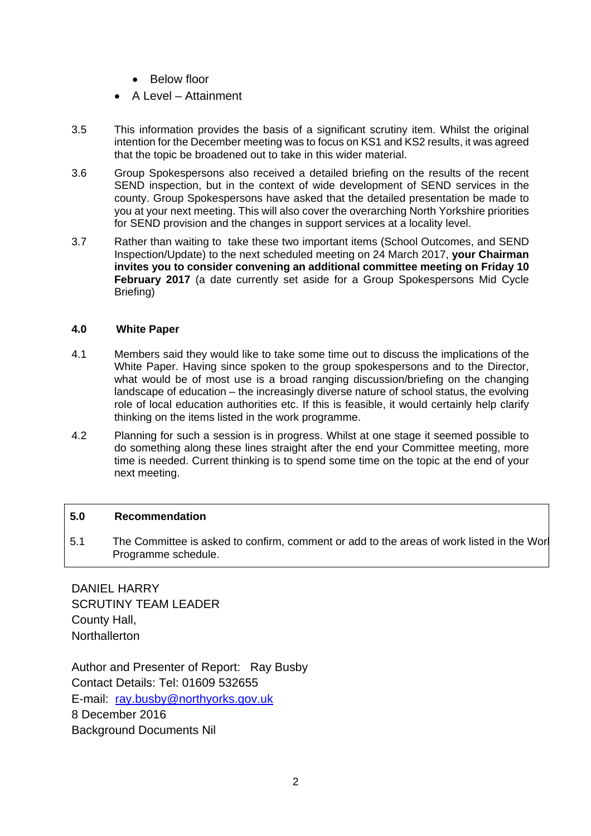- Below floor
- A Level Attainment
- 3.5 This information provides the basis of a significant scrutiny item. Whilst the original intention for the December meeting was to focus on KS1 and KS2 results, it was agreed that the topic be broadened out to take in this wider material.
- 3.6 Group Spokespersons also received a detailed briefing on the results of the recent SEND inspection, but in the context of wide development of SEND services in the county. Group Spokespersons have asked that the detailed presentation be made to you at your next meeting. This will also cover the overarching North Yorkshire priorities for SEND provision and the changes in support services at a locality level.
- 3.7 Rather than waiting to take these two important items (School Outcomes, and SEND Inspection/Update) to the next scheduled meeting on 24 March 2017, **your Chairman invites you to consider convening an additional committee meeting on Friday 10 February 2017** (a date currently set aside for a Group Spokespersons Mid Cycle Briefing)

#### **4.0 White Paper**

- 4.1 Members said they would like to take some time out to discuss the implications of the White Paper. Having since spoken to the group spokespersons and to the Director, what would be of most use is a broad ranging discussion/briefing on the changing landscape of education – the increasingly diverse nature of school status, the evolving role of local education authorities etc. If this is feasible, it would certainly help clarify thinking on the items listed in the work programme.
- 4.2 Planning for such a session is in progress. Whilst at one stage it seemed possible to do something along these lines straight after the end your Committee meeting, more time is needed. Current thinking is to spend some time on the topic at the end of your next meeting.

#### **5.0 Recommendation**

5.1 The Committee is asked to confirm, comment or add to the areas of work listed in the Worl Programme schedule.

DANIEL HARRY SCRUTINY TEAM LEADER County Hall, **Northallerton** 

Author and Presenter of Report: Ray Busby Contact Details: Tel: 01609 532655 E-mail: ray.busby@northyorks.gov.uk 8 December 2016 Background Documents Nil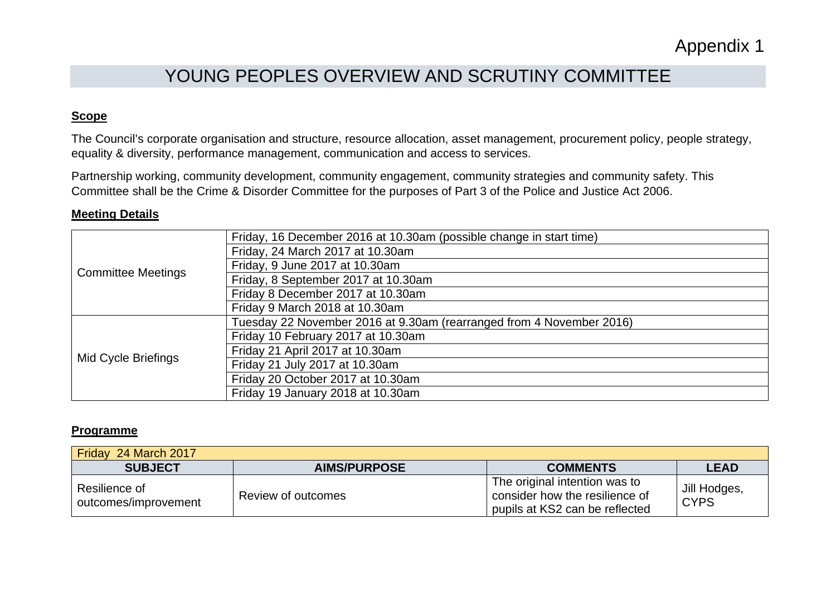# YOUNG PEOPLES OVERVIEW AND SCRUTINY COMMITTEE

# **Scope**

The Council's corporate organisation and structure, resource allocation, asset management, procurement policy, people strategy, equality & diversity, performance management, communication and access to services.

Partnership working, community development, community engagement, community strategies and community safety. This Committee shall be the Crime & Disorder Committee for the purposes of Part 3 of the Police and Justice Act 2006.

#### **Meeting Details**

| <b>Committee Meetings</b> | Friday, 16 December 2016 at 10.30am (possible change in start time)  |
|---------------------------|----------------------------------------------------------------------|
|                           | Friday, 24 March 2017 at 10.30am                                     |
|                           | Friday, 9 June 2017 at 10.30am                                       |
|                           | Friday, 8 September 2017 at 10.30am                                  |
|                           | Friday 8 December 2017 at 10.30am                                    |
|                           | Friday 9 March 2018 at 10.30am                                       |
| Mid Cycle Briefings       | Tuesday 22 November 2016 at 9.30am (rearranged from 4 November 2016) |
|                           | Friday 10 February 2017 at 10.30am                                   |
|                           | Friday 21 April 2017 at 10.30am                                      |
|                           | Friday 21 July 2017 at 10.30am                                       |
|                           | Friday 20 October 2017 at 10.30am                                    |
|                           | Friday 19 January 2018 at 10.30am                                    |

#### **Programme**

| Friday 24 March 2017                  |                     |                                                                                                   |                             |
|---------------------------------------|---------------------|---------------------------------------------------------------------------------------------------|-----------------------------|
| <b>SUBJECT</b>                        | <b>AIMS/PURPOSE</b> | <b>COMMENTS</b>                                                                                   | <b>LEAD</b>                 |
| Resilience of<br>outcomes/improvement | Review of outcomes  | The original intention was to<br>consider how the resilience of<br>pupils at KS2 can be reflected | Jill Hodges,<br><b>CYPS</b> |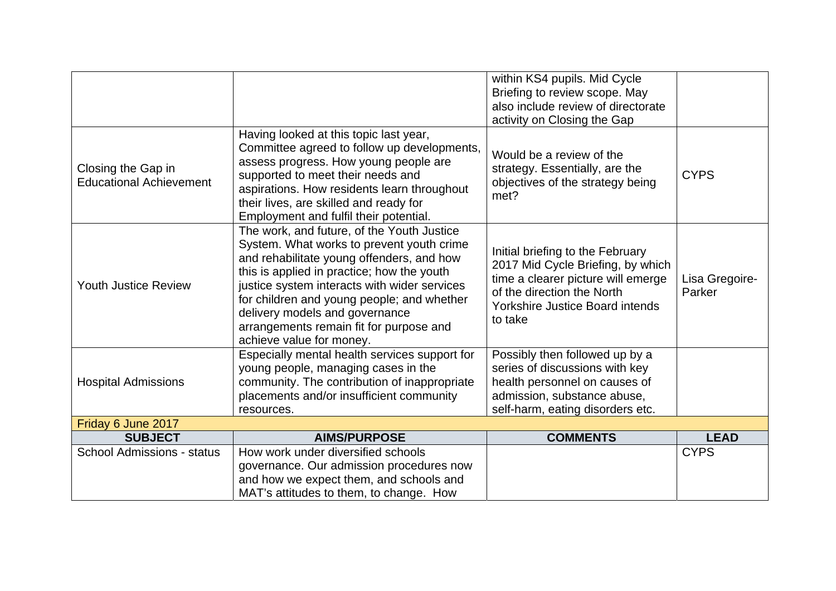|                                                      |                                                                                                                                                                                                                                                                                                                                                                                           | within KS4 pupils. Mid Cycle<br>Briefing to review scope. May<br>also include review of directorate<br>activity on Closing the Gap                                                             |                          |
|------------------------------------------------------|-------------------------------------------------------------------------------------------------------------------------------------------------------------------------------------------------------------------------------------------------------------------------------------------------------------------------------------------------------------------------------------------|------------------------------------------------------------------------------------------------------------------------------------------------------------------------------------------------|--------------------------|
| Closing the Gap in<br><b>Educational Achievement</b> | Having looked at this topic last year,<br>Committee agreed to follow up developments,<br>assess progress. How young people are<br>supported to meet their needs and<br>aspirations. How residents learn throughout<br>their lives, are skilled and ready for<br>Employment and fulfil their potential.                                                                                    | Would be a review of the<br>strategy. Essentially, are the<br>objectives of the strategy being<br>met?                                                                                         | <b>CYPS</b>              |
| <b>Youth Justice Review</b>                          | The work, and future, of the Youth Justice<br>System. What works to prevent youth crime<br>and rehabilitate young offenders, and how<br>this is applied in practice; how the youth<br>justice system interacts with wider services<br>for children and young people; and whether<br>delivery models and governance<br>arrangements remain fit for purpose and<br>achieve value for money. | Initial briefing to the February<br>2017 Mid Cycle Briefing, by which<br>time a clearer picture will emerge<br>of the direction the North<br><b>Yorkshire Justice Board intends</b><br>to take | Lisa Gregoire-<br>Parker |
| <b>Hospital Admissions</b>                           | Especially mental health services support for<br>young people, managing cases in the<br>community. The contribution of inappropriate<br>placements and/or insufficient community<br>resources.                                                                                                                                                                                            | Possibly then followed up by a<br>series of discussions with key<br>health personnel on causes of<br>admission, substance abuse,<br>self-harm, eating disorders etc.                           |                          |
| Friday 6 June 2017                                   |                                                                                                                                                                                                                                                                                                                                                                                           |                                                                                                                                                                                                |                          |
| <b>SUBJECT</b>                                       | <b>AIMS/PURPOSE</b>                                                                                                                                                                                                                                                                                                                                                                       | <b>COMMENTS</b>                                                                                                                                                                                | <b>LEAD</b>              |
| <b>School Admissions - status</b>                    | How work under diversified schools<br>governance. Our admission procedures now<br>and how we expect them, and schools and<br>MAT's attitudes to them, to change. How                                                                                                                                                                                                                      |                                                                                                                                                                                                | <b>CYPS</b>              |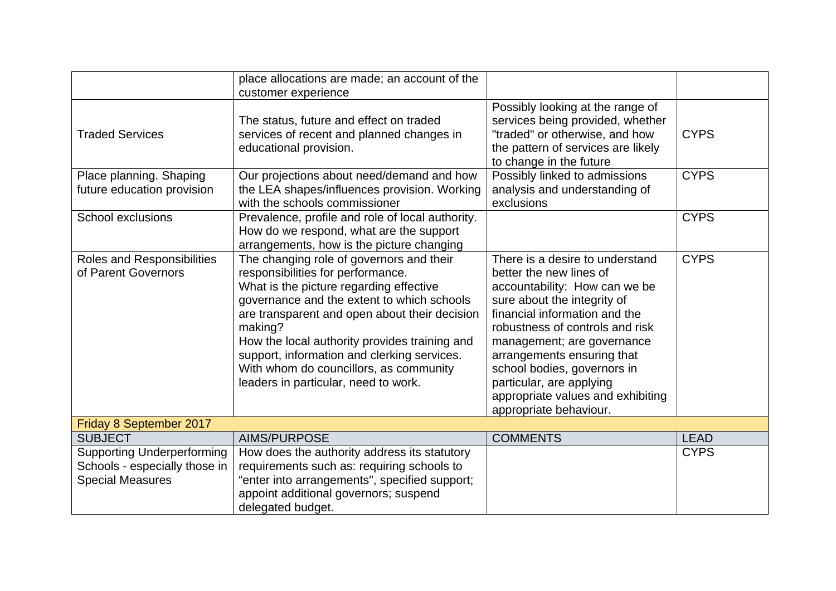|                                                                                               | place allocations are made; an account of the<br>customer experience                                                                                                                                                                                                                                                                                                                                                 |                                                                                                                                                                                                                                                                                                                                                                                      |             |
|-----------------------------------------------------------------------------------------------|----------------------------------------------------------------------------------------------------------------------------------------------------------------------------------------------------------------------------------------------------------------------------------------------------------------------------------------------------------------------------------------------------------------------|--------------------------------------------------------------------------------------------------------------------------------------------------------------------------------------------------------------------------------------------------------------------------------------------------------------------------------------------------------------------------------------|-------------|
| <b>Traded Services</b>                                                                        | The status, future and effect on traded<br>services of recent and planned changes in<br>educational provision.                                                                                                                                                                                                                                                                                                       | Possibly looking at the range of<br>services being provided, whether<br>"traded" or otherwise, and how<br>the pattern of services are likely<br>to change in the future                                                                                                                                                                                                              | <b>CYPS</b> |
| Place planning. Shaping<br>future education provision                                         | Our projections about need/demand and how<br>the LEA shapes/influences provision. Working<br>with the schools commissioner                                                                                                                                                                                                                                                                                           | Possibly linked to admissions<br>analysis and understanding of<br>exclusions                                                                                                                                                                                                                                                                                                         | <b>CYPS</b> |
| <b>School exclusions</b>                                                                      | Prevalence, profile and role of local authority.<br>How do we respond, what are the support<br>arrangements, how is the picture changing                                                                                                                                                                                                                                                                             |                                                                                                                                                                                                                                                                                                                                                                                      | <b>CYPS</b> |
| Roles and Responsibilities<br>of Parent Governors                                             | The changing role of governors and their<br>responsibilities for performance.<br>What is the picture regarding effective<br>governance and the extent to which schools<br>are transparent and open about their decision<br>making?<br>How the local authority provides training and<br>support, information and clerking services.<br>With whom do councillors, as community<br>leaders in particular, need to work. | There is a desire to understand<br>better the new lines of<br>accountability: How can we be<br>sure about the integrity of<br>financial information and the<br>robustness of controls and risk<br>management; are governance<br>arrangements ensuring that<br>school bodies, governors in<br>particular, are applying<br>appropriate values and exhibiting<br>appropriate behaviour. | <b>CYPS</b> |
| Friday 8 September 2017                                                                       |                                                                                                                                                                                                                                                                                                                                                                                                                      |                                                                                                                                                                                                                                                                                                                                                                                      |             |
| <b>SUBJECT</b>                                                                                | AIMS/PURPOSE                                                                                                                                                                                                                                                                                                                                                                                                         | <b>COMMENTS</b>                                                                                                                                                                                                                                                                                                                                                                      | <b>LEAD</b> |
| <b>Supporting Underperforming</b><br>Schools - especially those in<br><b>Special Measures</b> | How does the authority address its statutory<br>requirements such as: requiring schools to<br>"enter into arrangements", specified support;<br>appoint additional governors; suspend<br>delegated budget.                                                                                                                                                                                                            |                                                                                                                                                                                                                                                                                                                                                                                      | <b>CYPS</b> |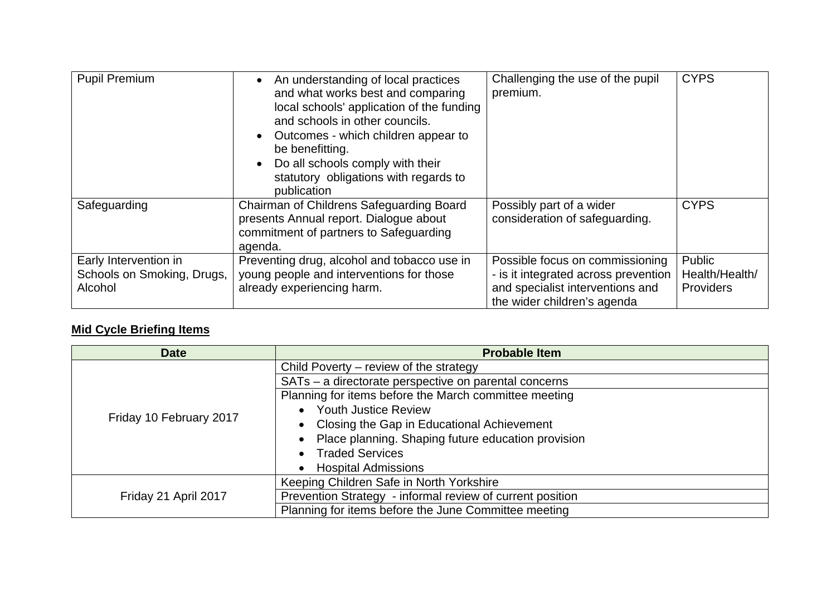| <b>Pupil Premium</b>                                           | An understanding of local practices<br>and what works best and comparing<br>local schools' application of the funding<br>and schools in other councils.<br>Outcomes - which children appear to<br>be benefitting.<br>Do all schools comply with their<br>statutory obligations with regards to<br>publication | Challenging the use of the pupil<br>premium.                                                                                               | <b>CYPS</b>                                  |
|----------------------------------------------------------------|---------------------------------------------------------------------------------------------------------------------------------------------------------------------------------------------------------------------------------------------------------------------------------------------------------------|--------------------------------------------------------------------------------------------------------------------------------------------|----------------------------------------------|
| Safeguarding                                                   | Chairman of Childrens Safeguarding Board<br>presents Annual report. Dialogue about<br>commitment of partners to Safeguarding<br>agenda.                                                                                                                                                                       | Possibly part of a wider<br>consideration of safeguarding.                                                                                 | <b>CYPS</b>                                  |
| Early Intervention in<br>Schools on Smoking, Drugs,<br>Alcohol | Preventing drug, alcohol and tobacco use in<br>young people and interventions for those<br>already experiencing harm.                                                                                                                                                                                         | Possible focus on commissioning<br>- is it integrated across prevention<br>and specialist interventions and<br>the wider children's agenda | Public<br>Health/Health/<br><b>Providers</b> |

# **Mid Cycle Briefing Items**

| <b>Date</b>             | <b>Probable Item</b>                                      |
|-------------------------|-----------------------------------------------------------|
|                         | Child Poverty – review of the strategy                    |
|                         | SATs - a directorate perspective on parental concerns     |
|                         | Planning for items before the March committee meeting     |
|                         | • Youth Justice Review                                    |
| Friday 10 February 2017 | Closing the Gap in Educational Achievement<br>$\bullet$   |
|                         | Place planning. Shaping future education provision        |
|                         | <b>Traded Services</b>                                    |
|                         | <b>Hospital Admissions</b>                                |
|                         | Keeping Children Safe in North Yorkshire                  |
| Friday 21 April 2017    | Prevention Strategy - informal review of current position |
|                         | Planning for items before the June Committee meeting      |